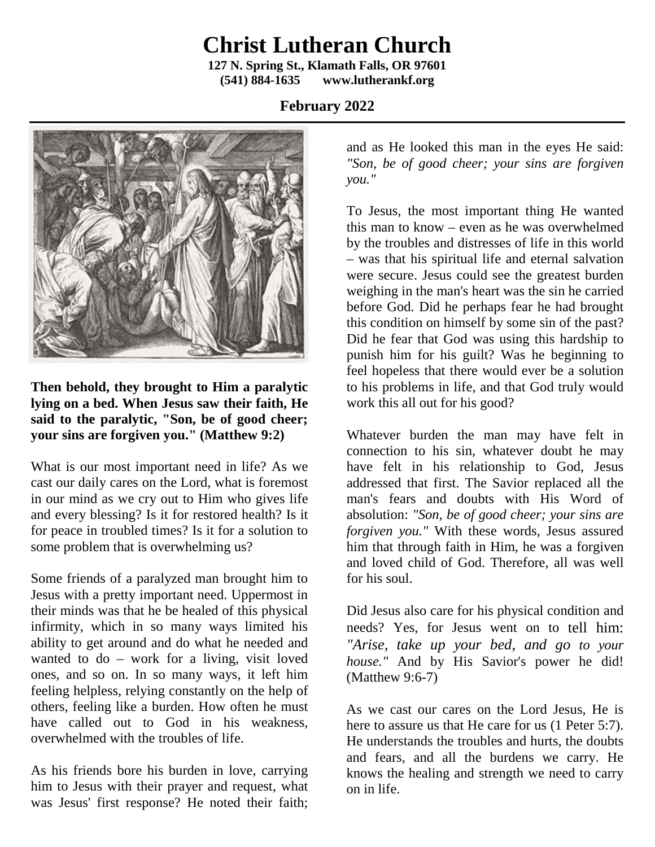## **Christ Lutheran Church**

**127 N. Spring St., Klamath Falls, OR 97601 (541) 884-1635 www.lutherankf.org**

## **February 2022**



**Then behold, they brought to Him a paralytic lying on a bed. When Jesus saw their faith, He said to the paralytic, "Son, be of good cheer; your sins are forgiven you." (Matthew 9:2)**

What is our most important need in life? As we cast our daily cares on the Lord, what is foremost in our mind as we cry out to Him who gives life and every blessing? Is it for restored health? Is it for peace in troubled times? Is it for a solution to some problem that is overwhelming us?

Some friends of a paralyzed man brought him to Jesus with a pretty important need. Uppermost in their minds was that he be healed of this physical infirmity, which in so many ways limited his ability to get around and do what he needed and wanted to do – work for a living, visit loved ones, and so on. In so many ways, it left him feeling helpless, relying constantly on the help of others, feeling like a burden. How often he must have called out to God in his weakness, overwhelmed with the troubles of life.

As his friends bore his burden in love, carrying him to Jesus with their prayer and request, what was Jesus' first response? He noted their faith;

and as He looked this man in the eyes He said: *"Son, be of good cheer; your sins are forgiven you."*

To Jesus, the most important thing He wanted this man to know – even as he was overwhelmed by the troubles and distresses of life in this world – was that his spiritual life and eternal salvation were secure. Jesus could see the greatest burden weighing in the man's heart was the sin he carried before God. Did he perhaps fear he had brought this condition on himself by some sin of the past? Did he fear that God was using this hardship to punish him for his guilt? Was he beginning to feel hopeless that there would ever be a solution to his problems in life, and that God truly would work this all out for his good?

Whatever burden the man may have felt in connection to his sin, whatever doubt he may have felt in his relationship to God, Jesus addressed that first. The Savior replaced all the man's fears and doubts with His Word of absolution: *"Son, be of good cheer; your sins are forgiven you."* With these words, Jesus assured him that through faith in Him, he was a forgiven and loved child of God. Therefore, all was well for his soul.

Did Jesus also care for his physical condition and needs? Yes, for Jesus went on to tell him: *"Arise, take up your bed, and go to your house."* And by His Savior's power he did! (Matthew 9:6-7)

As we cast our cares on the Lord Jesus, He is here to assure us that He care for us (1 Peter 5:7). He understands the troubles and hurts, the doubts and fears, and all the burdens we carry. He knows the healing and strength we need to carry on in life.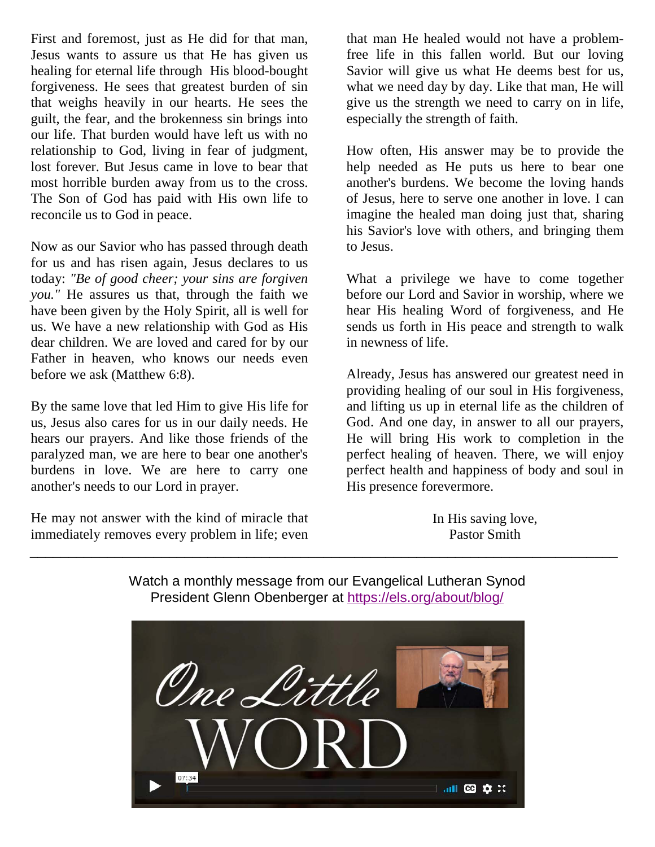First and foremost, just as He did for that man, Jesus wants to assure us that He has given us healing for eternal life through His blood-bought forgiveness. He sees that greatest burden of sin that weighs heavily in our hearts. He sees the guilt, the fear, and the brokenness sin brings into our life. That burden would have left us with no relationship to God, living in fear of judgment, lost forever. But Jesus came in love to bear that most horrible burden away from us to the cross. The Son of God has paid with His own life to reconcile us to God in peace.

Now as our Savior who has passed through death for us and has risen again, Jesus declares to us today: *"Be of good cheer; your sins are forgiven you."* He assures us that, through the faith we have been given by the Holy Spirit, all is well for us. We have a new relationship with God as His dear children. We are loved and cared for by our Father in heaven, who knows our needs even before we ask (Matthew 6:8).

By the same love that led Him to give His life for us, Jesus also cares for us in our daily needs. He hears our prayers. And like those friends of the paralyzed man, we are here to bear one another's burdens in love. We are here to carry one another's needs to our Lord in prayer.

He may not answer with the kind of miracle that immediately removes every problem in life; even

that man He healed would not have a problemfree life in this fallen world. But our loving Savior will give us what He deems best for us, what we need day by day. Like that man, He will give us the strength we need to carry on in life, especially the strength of faith.

How often, His answer may be to provide the help needed as He puts us here to bear one another's burdens. We become the loving hands of Jesus, here to serve one another in love. I can imagine the healed man doing just that, sharing his Savior's love with others, and bringing them to Jesus.

What a privilege we have to come together before our Lord and Savior in worship, where we hear His healing Word of forgiveness, and He sends us forth in His peace and strength to walk in newness of life.

Already, Jesus has answered our greatest need in providing healing of our soul in His forgiveness, and lifting us up in eternal life as the children of God. And one day, in answer to all our prayers, He will bring His work to completion in the perfect healing of heaven. There, we will enjoy perfect health and happiness of body and soul in His presence forevermore.

> In His saving love, Pastor Smith

Watch a monthly message from our Evangelical Lutheran Synod President Glenn Obenberger at<https://els.org/about/blog/>

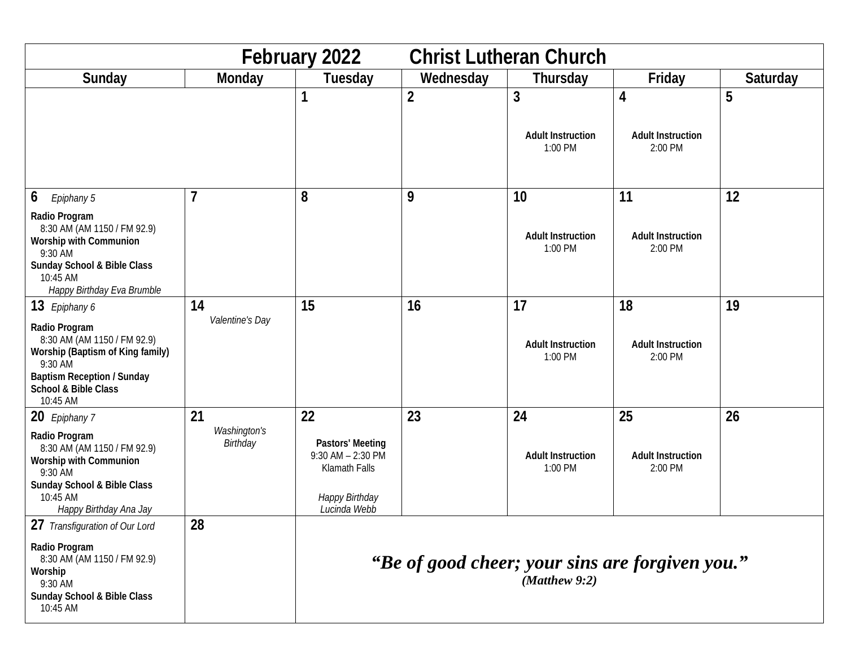| February 2022<br><b>Christ Lutheran Church</b>                                                                                                                       |                          |                                                                                              |                |                                          |                                          |          |
|----------------------------------------------------------------------------------------------------------------------------------------------------------------------|--------------------------|----------------------------------------------------------------------------------------------|----------------|------------------------------------------|------------------------------------------|----------|
| Sunday                                                                                                                                                               | Monday                   | Tuesday                                                                                      | Wednesday      | Thursday                                 | Friday                                   | Saturday |
|                                                                                                                                                                      |                          |                                                                                              | $\overline{2}$ | 3<br><b>Adult Instruction</b><br>1:00 PM | 4<br><b>Adult Instruction</b><br>2:00 PM | 5        |
| 6<br>Epiphany 5                                                                                                                                                      | 7                        | 8                                                                                            | 9              | 10                                       | 11                                       | 12       |
| Radio Program<br>8:30 AM (AM 1150 / FM 92.9)<br>Worship with Communion<br>9:30 AM<br>Sunday School & Bible Class<br>10:45 AM<br>Happy Birthday Eva Brumble           |                          |                                                                                              |                | <b>Adult Instruction</b><br>1:00 PM      | <b>Adult Instruction</b><br>2:00 PM      |          |
| 13 Epiphany 6                                                                                                                                                        | 14                       | 15                                                                                           | 16             | 17                                       | 18                                       | 19       |
| Radio Program<br>8:30 AM (AM 1150 / FM 92.9)<br>Worship (Baptism of King family)<br>9:30 AM<br><b>Baptism Reception / Sunday</b><br>School & Bible Class<br>10:45 AM | Valentine's Day          |                                                                                              |                | <b>Adult Instruction</b><br>1:00 PM      | <b>Adult Instruction</b><br>2:00 PM      |          |
| 20 Epiphany 7                                                                                                                                                        | 21                       | 22                                                                                           | 23             | 24                                       | 25                                       | 26       |
| Radio Program<br>8:30 AM (AM 1150 / FM 92.9)<br><b>Worship with Communion</b><br>9:30 AM<br>Sunday School & Bible Class<br>10:45 AM<br>Happy Birthday Ana Jay        | Washington's<br>Birthday | Pastors' Meeting<br>$9:30$ AM $- 2:30$ PM<br>Klamath Falls<br>Happy Birthday<br>Lucinda Webb |                | <b>Adult Instruction</b><br>1:00 PM      | <b>Adult Instruction</b><br>2:00 PM      |          |
| $\sim$ $\sim$<br>27 Transfiguration of Our Lord                                                                                                                      | 28                       |                                                                                              |                |                                          |                                          |          |
| Radio Program<br>8:30 AM (AM 1150 / FM 92.9)<br>Worship<br>9:30 AM<br>Sunday School & Bible Class<br>10:45 AM                                                        |                          | "Be of good cheer; your sins are forgiven you."<br>$(Mat$ flew $9:2)$                        |                |                                          |                                          |          |